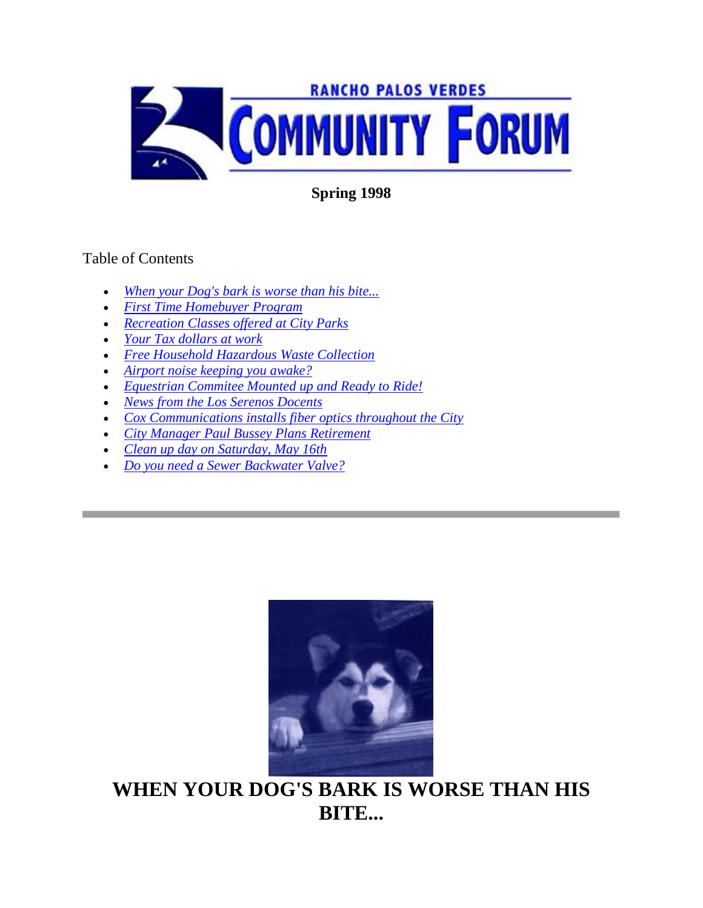

**Spring 1998**

#### Table of Contents

- *[When your Dog's bark is worse than his bite...](http://www.palosverdes.com/rpv/news/newsletters/1998/1998spring/index.cfm#Dog)*
- *[First Time Homebuyer Program](http://www.palosverdes.com/rpv/news/newsletters/1998/1998spring/index.cfm#First%20Time%20Homebuyer)*
- *[Recreation Classes offered at City Parks](http://www.palosverdes.com/rpv/news/newsletters/1998/1998spring/index.cfm#RECREATION%20CLASSES%20OFFERED%20AT%20CITY)*
- *[Your Tax dollars at work](http://www.palosverdes.com/rpv/news/newsletters/1998/1998spring/index.cfm#YOUR%20TAX%20DOLLARS%20AT%20WORK)*
- *[Free Household Hazardous Waste Collection](http://www.palosverdes.com/rpv/news/newsletters/1998/1998spring/index.cfm#FREE%20HOUSEHOLD%20HAZARDOUS%20WASTE)*
- *[Airport noise keeping you awake?](http://www.palosverdes.com/rpv/news/newsletters/1998/1998spring/index.cfm#Plane)*
- *[Equestrian Commitee Mounted up and Ready to Ride!](http://www.palosverdes.com/rpv/news/newsletters/1998/1998spring/index.cfm#Horsehead)*
- *News from the [Los Serenos Docents](http://www.palosverdes.com/rpv/news/newsletters/1998/1998spring/index.cfm#NEWS%20FROM%20THE%20LOS%20SERENOS%20DOCENTS)*
- *[Cox Communications installs fiber optics throughout the City](http://www.palosverdes.com/rpv/news/newsletters/1998/1998spring/index.cfm#COX%20COMMUNICATIONS%20INSTALLS%20FIBER%20OPTICS)*
- *[City Manager Paul Bussey Plans Retirement](http://www.palosverdes.com/rpv/news/newsletters/1998/1998spring/index.cfm#Bussey)*
- *[Clean up day on Saturday, May 16th](http://www.palosverdes.com/rpv/news/newsletters/1998/1998spring/index.cfm#CLEAN%20UP%20DAY%20ON%20SATURDAY,%20MAY)*
- *[Do you need a Sewer Backwater Valve?](http://www.palosverdes.com/rpv/news/newsletters/1998/1998spring/index.cfm#DO%20YOU%20NEED)*



**WHEN YOUR DOG'S BARK IS WORSE THAN HIS BITE...**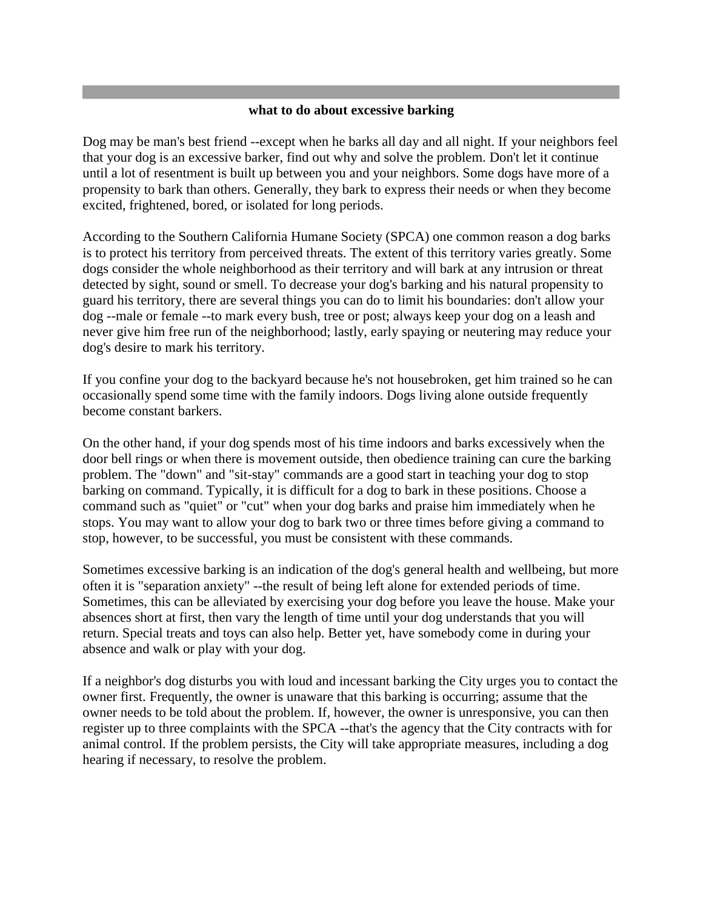#### **what to do about excessive barking**

Dog may be man's best friend --except when he barks all day and all night. If your neighbors feel that your dog is an excessive barker, find out why and solve the problem. Don't let it continue until a lot of resentment is built up between you and your neighbors. Some dogs have more of a propensity to bark than others. Generally, they bark to express their needs or when they become excited, frightened, bored, or isolated for long periods.

According to the Southern California Humane Society (SPCA) one common reason a dog barks is to protect his territory from perceived threats. The extent of this territory varies greatly. Some dogs consider the whole neighborhood as their territory and will bark at any intrusion or threat detected by sight, sound or smell. To decrease your dog's barking and his natural propensity to guard his territory, there are several things you can do to limit his boundaries: don't allow your dog --male or female --to mark every bush, tree or post; always keep your dog on a leash and never give him free run of the neighborhood; lastly, early spaying or neutering may reduce your dog's desire to mark his territory.

If you confine your dog to the backyard because he's not housebroken, get him trained so he can occasionally spend some time with the family indoors. Dogs living alone outside frequently become constant barkers.

On the other hand, if your dog spends most of his time indoors and barks excessively when the door bell rings or when there is movement outside, then obedience training can cure the barking problem. The "down" and "sit-stay" commands are a good start in teaching your dog to stop barking on command. Typically, it is difficult for a dog to bark in these positions. Choose a command such as "quiet" or "cut" when your dog barks and praise him immediately when he stops. You may want to allow your dog to bark two or three times before giving a command to stop, however, to be successful, you must be consistent with these commands.

Sometimes excessive barking is an indication of the dog's general health and wellbeing, but more often it is "separation anxiety" --the result of being left alone for extended periods of time. Sometimes, this can be alleviated by exercising your dog before you leave the house. Make your absences short at first, then vary the length of time until your dog understands that you will return. Special treats and toys can also help. Better yet, have somebody come in during your absence and walk or play with your dog.

If a neighbor's dog disturbs you with loud and incessant barking the City urges you to contact the owner first. Frequently, the owner is unaware that this barking is occurring; assume that the owner needs to be told about the problem. If, however, the owner is unresponsive, you can then register up to three complaints with the SPCA --that's the agency that the City contracts with for animal control. If the problem persists, the City will take appropriate measures, including a dog hearing if necessary, to resolve the problem.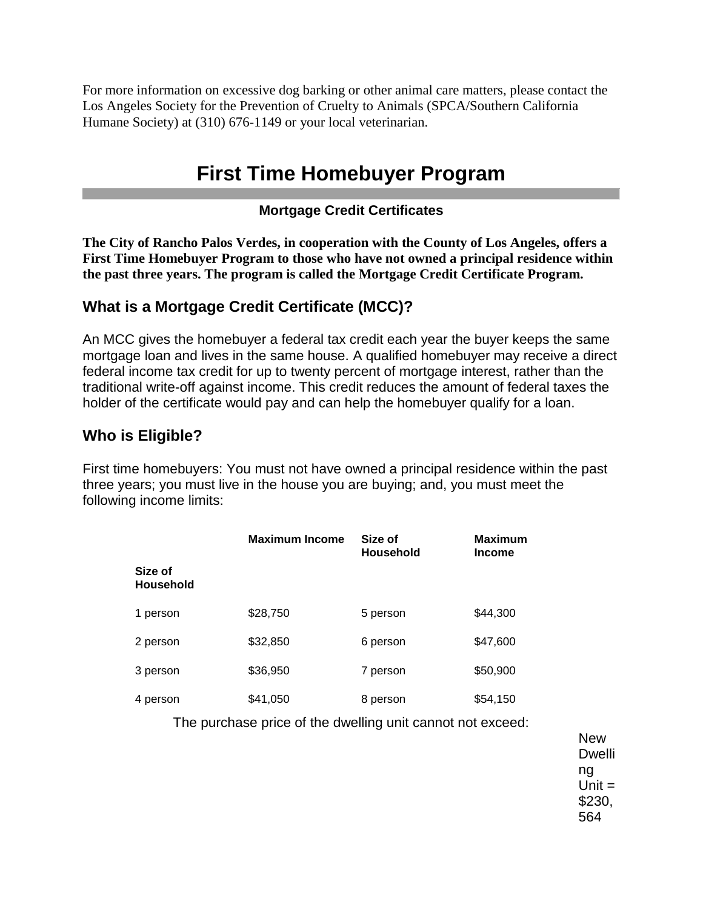For more information on excessive dog barking or other animal care matters, please contact the Los Angeles Society for the Prevention of Cruelty to Animals (SPCA/Southern California Humane Society) at (310) 676-1149 or your local veterinarian.

## **First Time Homebuyer Program**

#### **Mortgage Credit Certificates**

**The City of Rancho Palos Verdes, in cooperation with the County of Los Angeles, offers a First Time Homebuyer Program to those who have not owned a principal residence within the past three years. The program is called the Mortgage Credit Certificate Program.**

### **What is a Mortgage Credit Certificate (MCC)?**

An MCC gives the homebuyer a federal tax credit each year the buyer keeps the same mortgage loan and lives in the same house. A qualified homebuyer may receive a direct federal income tax credit for up to twenty percent of mortgage interest, rather than the traditional write-off against income. This credit reduces the amount of federal taxes the holder of the certificate would pay and can help the homebuyer qualify for a loan.

#### **Who is Eligible?**

First time homebuyers: You must not have owned a principal residence within the past three years; you must live in the house you are buying; and, you must meet the following income limits:

|                             | <b>Maximum Income</b> | Size of<br><b>Household</b> | <b>Maximum</b><br><b>Income</b> |
|-----------------------------|-----------------------|-----------------------------|---------------------------------|
| Size of<br><b>Household</b> |                       |                             |                                 |
| 1 person                    | \$28,750              | 5 person                    | \$44,300                        |
| 2 person                    | \$32,850              | 6 person                    | \$47,600                        |
| 3 person                    | \$36,950              | 7 person                    | \$50,900                        |
| 4 person                    | \$41,050              | 8 person                    | \$54,150                        |

The purchase price of the dwelling unit cannot not exceed:

New Dwelli ng  $Unit =$ \$230, 564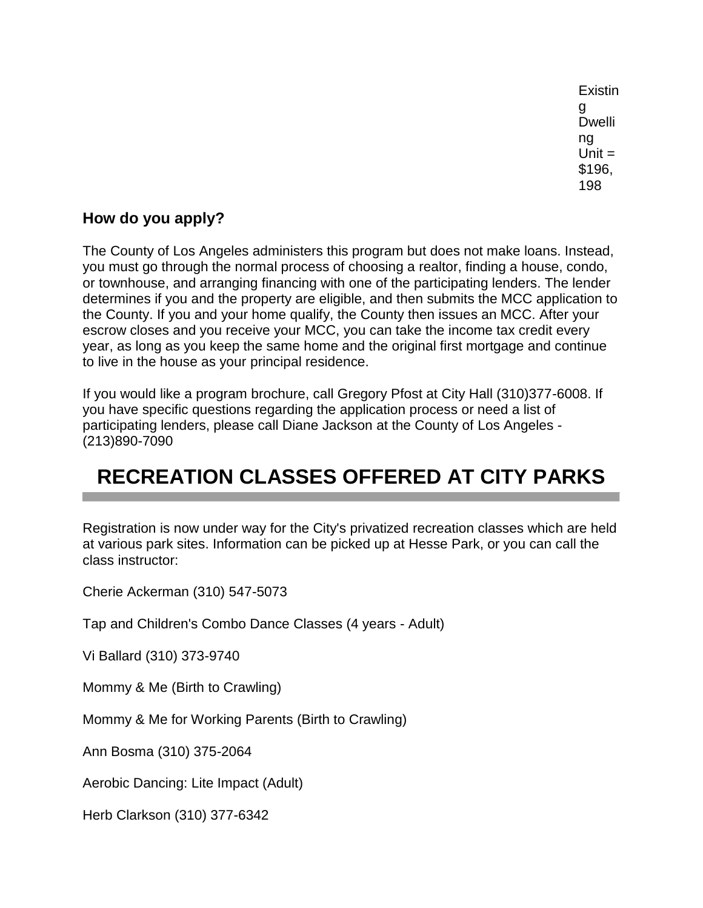Existin g Dwelli ng  $Unit =$ \$196, 198

### **How do you apply?**

The County of Los Angeles administers this program but does not make loans. Instead, you must go through the normal process of choosing a realtor, finding a house, condo, or townhouse, and arranging financing with one of the participating lenders. The lender determines if you and the property are eligible, and then submits the MCC application to the County. If you and your home qualify, the County then issues an MCC. After your escrow closes and you receive your MCC, you can take the income tax credit every year, as long as you keep the same home and the original first mortgage and continue to live in the house as your principal residence.

If you would like a program brochure, call Gregory Pfost at City Hall (310)377-6008. If you have specific questions regarding the application process or need a list of participating lenders, please call Diane Jackson at the County of Los Angeles - (213)890-7090

# **RECREATION CLASSES OFFERED AT CITY PARKS**

Registration is now under way for the City's privatized recreation classes which are held at various park sites. Information can be picked up at Hesse Park, or you can call the class instructor:

Cherie Ackerman (310) 547-5073

Tap and Children's Combo Dance Classes (4 years - Adult)

Vi Ballard (310) 373-9740

Mommy & Me (Birth to Crawling)

Mommy & Me for Working Parents (Birth to Crawling)

Ann Bosma (310) 375-2064

Aerobic Dancing: Lite Impact (Adult)

Herb Clarkson (310) 377-6342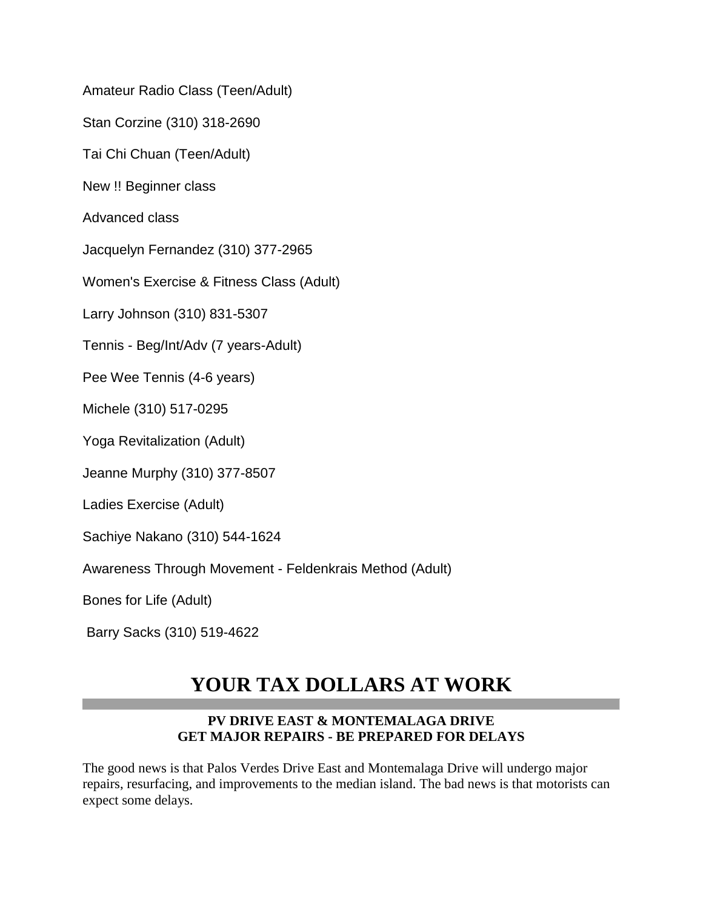Amateur Radio Class (Teen/Adult)

Stan Corzine (310) 318-2690

Tai Chi Chuan (Teen/Adult)

New !! Beginner class

Advanced class

Jacquelyn Fernandez (310) 377-2965

Women's Exercise & Fitness Class (Adult)

Larry Johnson (310) 831-5307

Tennis - Beg/Int/Adv (7 years-Adult)

Pee Wee Tennis (4-6 years)

Michele (310) 517-0295

Yoga Revitalization (Adult)

Jeanne Murphy (310) 377-8507

Ladies Exercise (Adult)

Sachiye Nakano (310) 544-1624

Awareness Through Movement - Feldenkrais Method (Adult)

Bones for Life (Adult)

Barry Sacks (310) 519-4622

### **YOUR TAX DOLLARS AT WORK**

#### **PV DRIVE EAST & MONTEMALAGA DRIVE GET MAJOR REPAIRS - BE PREPARED FOR DELAYS**

The good news is that Palos Verdes Drive East and Montemalaga Drive will undergo major repairs, resurfacing, and improvements to the median island. The bad news is that motorists can expect some delays.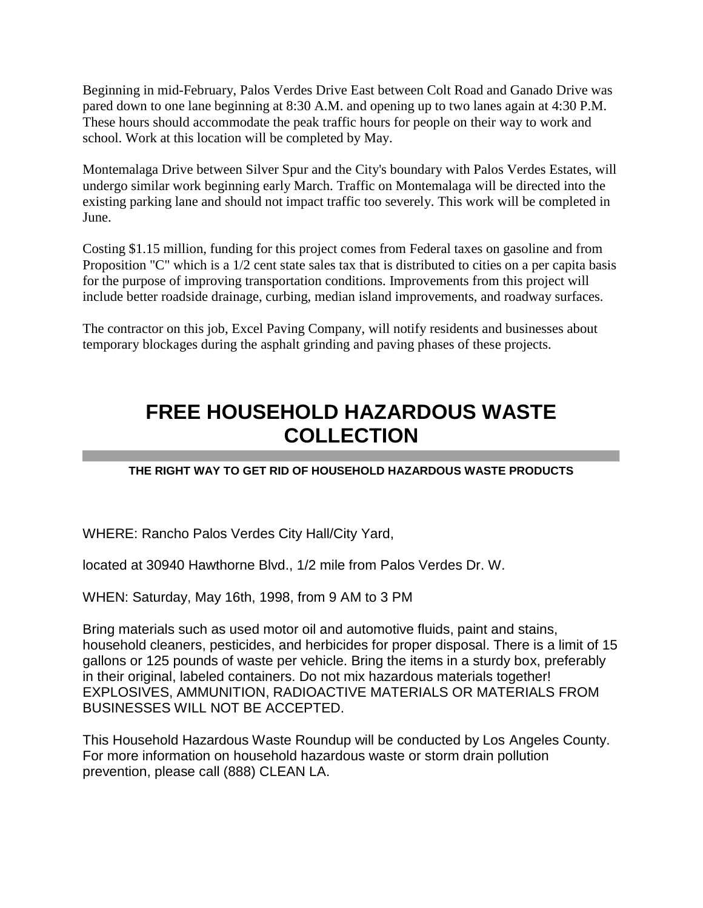Beginning in mid-February, Palos Verdes Drive East between Colt Road and Ganado Drive was pared down to one lane beginning at 8:30 A.M. and opening up to two lanes again at 4:30 P.M. These hours should accommodate the peak traffic hours for people on their way to work and school. Work at this location will be completed by May.

Montemalaga Drive between Silver Spur and the City's boundary with Palos Verdes Estates, will undergo similar work beginning early March. Traffic on Montemalaga will be directed into the existing parking lane and should not impact traffic too severely. This work will be completed in June.

Costing \$1.15 million, funding for this project comes from Federal taxes on gasoline and from Proposition "C" which is a 1/2 cent state sales tax that is distributed to cities on a per capita basis for the purpose of improving transportation conditions. Improvements from this project will include better roadside drainage, curbing, median island improvements, and roadway surfaces.

The contractor on this job, Excel Paving Company, will notify residents and businesses about temporary blockages during the asphalt grinding and paving phases of these projects.

## **FREE HOUSEHOLD HAZARDOUS WASTE COLLECTION**

#### **THE RIGHT WAY TO GET RID OF HOUSEHOLD HAZARDOUS WASTE PRODUCTS**

WHERE: Rancho Palos Verdes City Hall/City Yard,

located at 30940 Hawthorne Blvd., 1/2 mile from Palos Verdes Dr. W.

WHEN: Saturday, May 16th, 1998, from 9 AM to 3 PM

Bring materials such as used motor oil and automotive fluids, paint and stains, household cleaners, pesticides, and herbicides for proper disposal. There is a limit of 15 gallons or 125 pounds of waste per vehicle. Bring the items in a sturdy box, preferably in their original, labeled containers. Do not mix hazardous materials together! EXPLOSIVES, AMMUNITION, RADIOACTIVE MATERIALS OR MATERIALS FROM BUSINESSES WILL NOT BE ACCEPTED.

This Household Hazardous Waste Roundup will be conducted by Los Angeles County. For more information on household hazardous waste or storm drain pollution prevention, please call (888) CLEAN LA.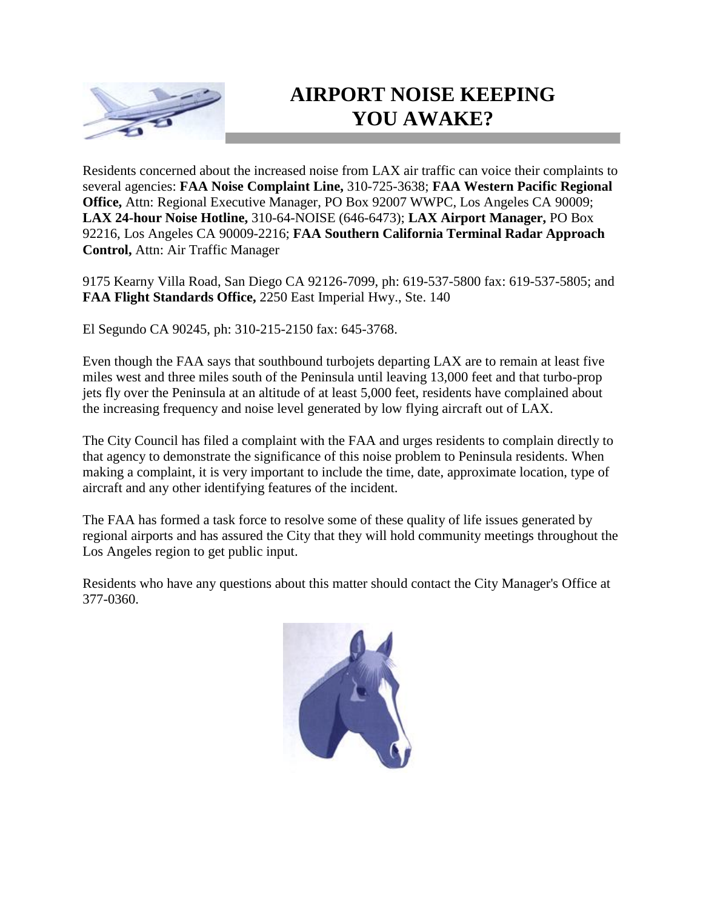

## **AIRPORT NOISE KEEPING YOU AWAKE?**

Residents concerned about the increased noise from LAX air traffic can voice their complaints to several agencies: **FAA Noise Complaint Line,** 310-725-3638; **FAA Western Pacific Regional Office,** Attn: Regional Executive Manager, PO Box 92007 WWPC, Los Angeles CA 90009; **LAX 24-hour Noise Hotline,** 310-64-NOISE (646-6473); **LAX Airport Manager,** PO Box 92216, Los Angeles CA 90009-2216; **FAA Southern California Terminal Radar Approach Control,** Attn: Air Traffic Manager

9175 Kearny Villa Road, San Diego CA 92126-7099, ph: 619-537-5800 fax: 619-537-5805; and **FAA Flight Standards Office,** 2250 East Imperial Hwy., Ste. 140

El Segundo CA 90245, ph: 310-215-2150 fax: 645-3768.

Even though the FAA says that southbound turbojets departing LAX are to remain at least five miles west and three miles south of the Peninsula until leaving 13,000 feet and that turbo-prop jets fly over the Peninsula at an altitude of at least 5,000 feet, residents have complained about the increasing frequency and noise level generated by low flying aircraft out of LAX.

The City Council has filed a complaint with the FAA and urges residents to complain directly to that agency to demonstrate the significance of this noise problem to Peninsula residents. When making a complaint, it is very important to include the time, date, approximate location, type of aircraft and any other identifying features of the incident.

The FAA has formed a task force to resolve some of these quality of life issues generated by regional airports and has assured the City that they will hold community meetings throughout the Los Angeles region to get public input.

Residents who have any questions about this matter should contact the City Manager's Office at 377-0360.

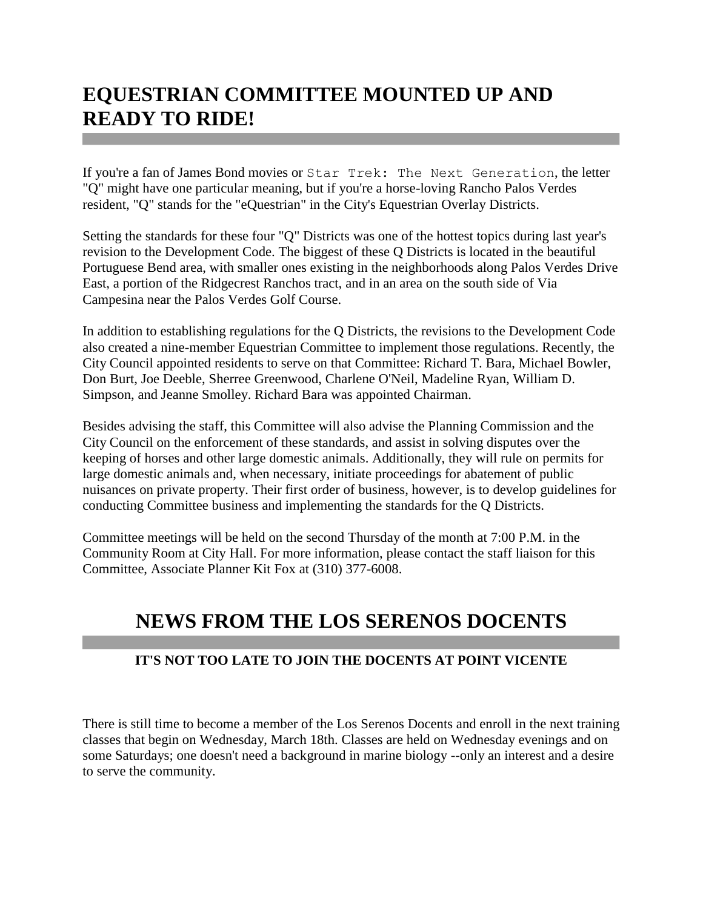## **EQUESTRIAN COMMITTEE MOUNTED UP AND READY TO RIDE!**

If you're a fan of James Bond movies or Star Trek: The Next Generation, the letter "Q" might have one particular meaning, but if you're a horse-loving Rancho Palos Verdes resident, "Q" stands for the "eQuestrian" in the City's Equestrian Overlay Districts.

Setting the standards for these four "Q" Districts was one of the hottest topics during last year's revision to the Development Code. The biggest of these Q Districts is located in the beautiful Portuguese Bend area, with smaller ones existing in the neighborhoods along Palos Verdes Drive East, a portion of the Ridgecrest Ranchos tract, and in an area on the south side of Via Campesina near the Palos Verdes Golf Course.

In addition to establishing regulations for the Q Districts, the revisions to the Development Code also created a nine-member Equestrian Committee to implement those regulations. Recently, the City Council appointed residents to serve on that Committee: Richard T. Bara, Michael Bowler, Don Burt, Joe Deeble, Sherree Greenwood, Charlene O'Neil, Madeline Ryan, William D. Simpson, and Jeanne Smolley. Richard Bara was appointed Chairman.

Besides advising the staff, this Committee will also advise the Planning Commission and the City Council on the enforcement of these standards, and assist in solving disputes over the keeping of horses and other large domestic animals. Additionally, they will rule on permits for large domestic animals and, when necessary, initiate proceedings for abatement of public nuisances on private property. Their first order of business, however, is to develop guidelines for conducting Committee business and implementing the standards for the Q Districts.

Committee meetings will be held on the second Thursday of the month at 7:00 P.M. in the Community Room at City Hall. For more information, please contact the staff liaison for this Committee, Associate Planner Kit Fox at (310) 377-6008.

## **NEWS FROM THE LOS SERENOS DOCENTS**

#### **IT'S NOT TOO LATE TO JOIN THE DOCENTS AT POINT VICENTE**

There is still time to become a member of the Los Serenos Docents and enroll in the next training classes that begin on Wednesday, March 18th. Classes are held on Wednesday evenings and on some Saturdays; one doesn't need a background in marine biology --only an interest and a desire to serve the community.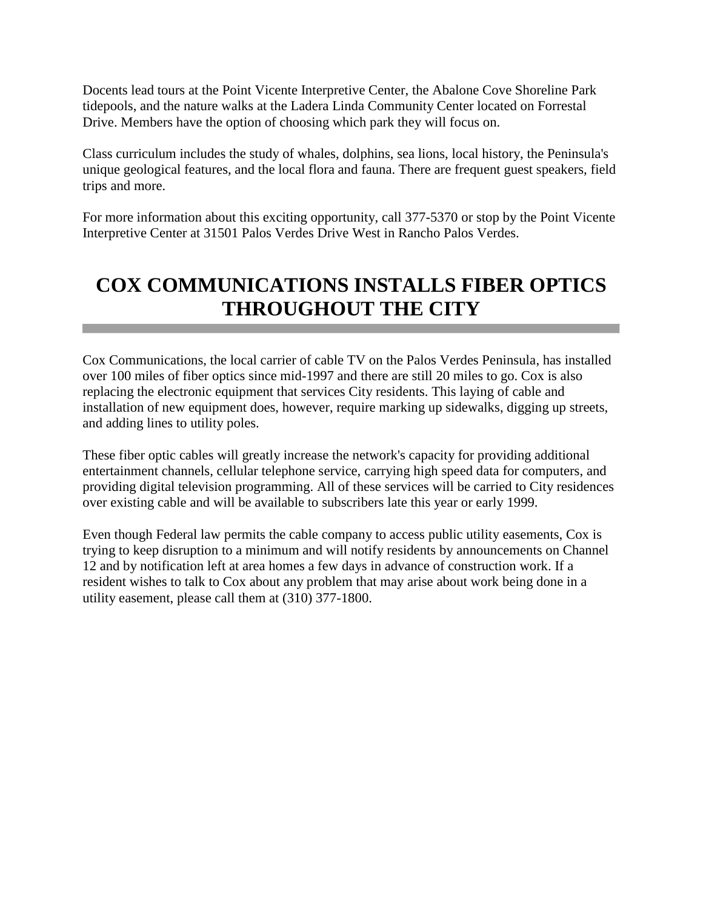Docents lead tours at the Point Vicente Interpretive Center, the Abalone Cove Shoreline Park tidepools, and the nature walks at the Ladera Linda Community Center located on Forrestal Drive. Members have the option of choosing which park they will focus on.

Class curriculum includes the study of whales, dolphins, sea lions, local history, the Peninsula's unique geological features, and the local flora and fauna. There are frequent guest speakers, field trips and more.

For more information about this exciting opportunity, call 377-5370 or stop by the Point Vicente Interpretive Center at 31501 Palos Verdes Drive West in Rancho Palos Verdes.

## **COX COMMUNICATIONS INSTALLS FIBER OPTICS THROUGHOUT THE CITY**

Cox Communications, the local carrier of cable TV on the Palos Verdes Peninsula, has installed over 100 miles of fiber optics since mid-1997 and there are still 20 miles to go. Cox is also replacing the electronic equipment that services City residents. This laying of cable and installation of new equipment does, however, require marking up sidewalks, digging up streets, and adding lines to utility poles.

These fiber optic cables will greatly increase the network's capacity for providing additional entertainment channels, cellular telephone service, carrying high speed data for computers, and providing digital television programming. All of these services will be carried to City residences over existing cable and will be available to subscribers late this year or early 1999.

Even though Federal law permits the cable company to access public utility easements, Cox is trying to keep disruption to a minimum and will notify residents by announcements on Channel 12 and by notification left at area homes a few days in advance of construction work. If a resident wishes to talk to Cox about any problem that may arise about work being done in a utility easement, please call them at (310) 377-1800.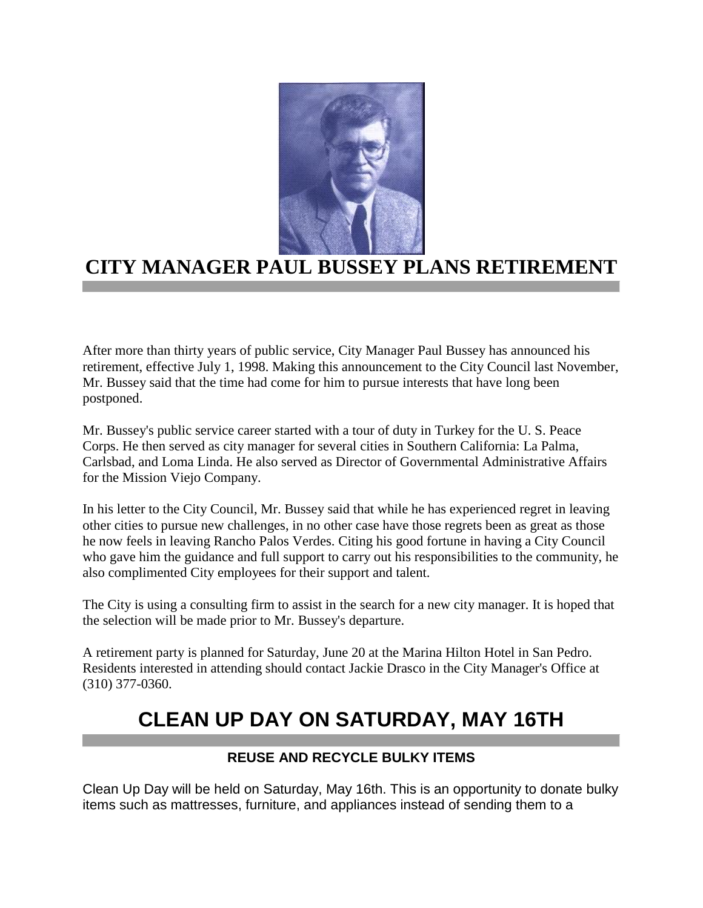

### **CITY MANAGER PAUL BUSSEY PLANS RETIREME!**

After more than thirty years of public service, City Manager Paul Bussey has announced his retirement, effective July 1, 1998. Making this announcement to the City Council last November, Mr. Bussey said that the time had come for him to pursue interests that have long been postponed.

Mr. Bussey's public service career started with a tour of duty in Turkey for the U. S. Peace Corps. He then served as city manager for several cities in Southern California: La Palma, Carlsbad, and Loma Linda. He also served as Director of Governmental Administrative Affairs for the Mission Viejo Company.

In his letter to the City Council, Mr. Bussey said that while he has experienced regret in leaving other cities to pursue new challenges, in no other case have those regrets been as great as those he now feels in leaving Rancho Palos Verdes. Citing his good fortune in having a City Council who gave him the guidance and full support to carry out his responsibilities to the community, he also complimented City employees for their support and talent.

The City is using a consulting firm to assist in the search for a new city manager. It is hoped that the selection will be made prior to Mr. Bussey's departure.

A retirement party is planned for Saturday, June 20 at the Marina Hilton Hotel in San Pedro. Residents interested in attending should contact Jackie Drasco in the City Manager's Office at (310) 377-0360.

## **CLEAN UP DAY ON SATURDAY, MAY 16TH**

#### **REUSE AND RECYCLE BULKY ITEMS**

Clean Up Day will be held on Saturday, May 16th. This is an opportunity to donate bulky items such as mattresses, furniture, and appliances instead of sending them to a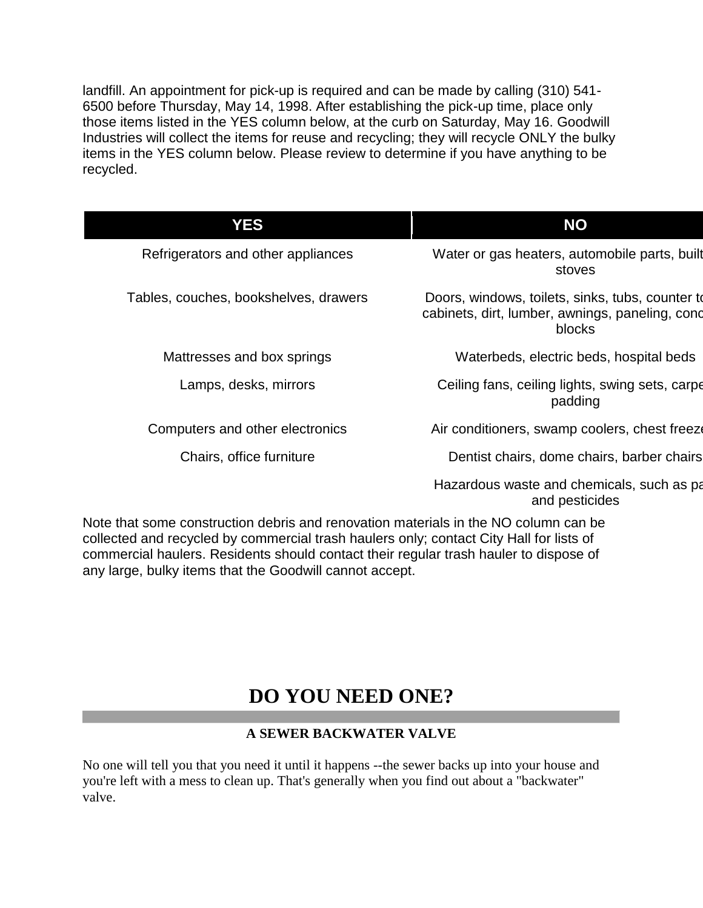landfill. An appointment for pick-up is required and can be made by calling (310) 541- 6500 before Thursday, May 14, 1998. After establishing the pick-up time, place only those items listed in the YES column below, at the curb on Saturday, May 16. Goodwill Industries will collect the items for reuse and recycling; they will recycle ONLY the bulky items in the YES column below. Please review to determine if you have anything to be recycled.

| <b>NO</b>                                                                                                     |  |
|---------------------------------------------------------------------------------------------------------------|--|
| Water or gas heaters, automobile parts, built<br>stoves                                                       |  |
| Doors, windows, toilets, sinks, tubs, counter to<br>cabinets, dirt, lumber, awnings, paneling, cond<br>blocks |  |
| Waterbeds, electric beds, hospital beds                                                                       |  |
| Ceiling fans, ceiling lights, swing sets, carpe<br>padding                                                    |  |
| Air conditioners, swamp coolers, chest freeze                                                                 |  |
| Dentist chairs, dome chairs, barber chairs                                                                    |  |
| Hazardous waste and chemicals, such as pa<br>and pesticides                                                   |  |
|                                                                                                               |  |

Note that some construction debris and renovation materials in the NO column can be collected and recycled by commercial trash haulers only; contact City Hall for lists of commercial haulers. Residents should contact their regular trash hauler to dispose of any large, bulky items that the Goodwill cannot accept.

### **DO YOU NEED ONE?**

#### **A SEWER BACKWATER VALVE**

No one will tell you that you need it until it happens --the sewer backs up into your house and you're left with a mess to clean up. That's generally when you find out about a "backwater" valve.